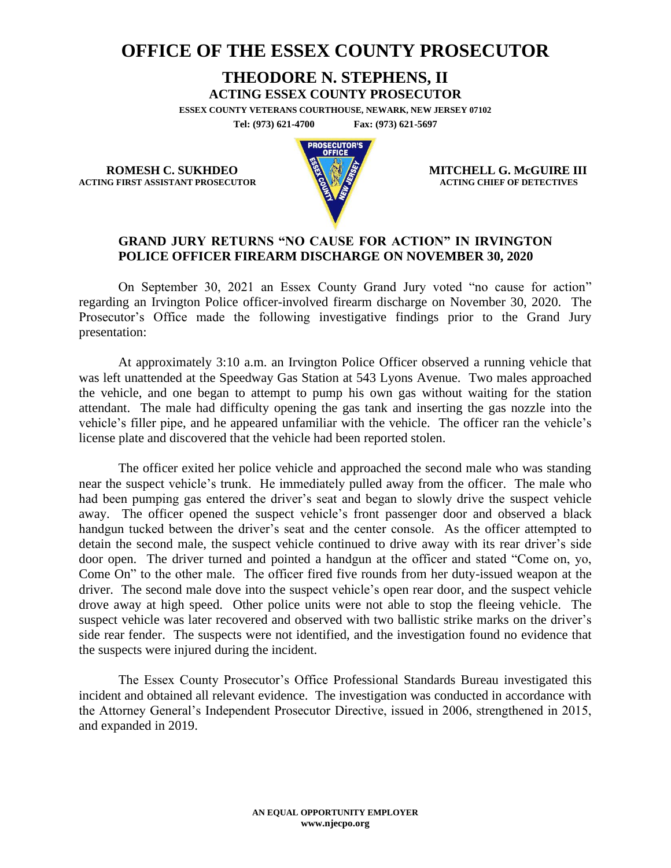## **OFFICE OF THE ESSEX COUNTY PROSECUTOR**

## **THEODORE N. STEPHENS, II**

**ACTING ESSEX COUNTY PROSECUTOR**

**ESSEX COUNTY VETERANS COURTHOUSE, NEWARK, NEW JERSEY 07102 Tel: (973) 621-4700 Fax: (973) 621-5697**

**ACTING FIRST ASSISTANT PROSECUTOR** 



**ROMESH C. SUKHDEO MITCHELL G. McGUIRE III**<br>
MITCHELL G. McGUIRE III

## **GRAND JURY RETURNS "NO CAUSE FOR ACTION" IN IRVINGTON POLICE OFFICER FIREARM DISCHARGE ON NOVEMBER 30, 2020**

On September 30, 2021 an Essex County Grand Jury voted "no cause for action" regarding an Irvington Police officer-involved firearm discharge on November 30, 2020. The Prosecutor's Office made the following investigative findings prior to the Grand Jury presentation:

At approximately 3:10 a.m. an Irvington Police Officer observed a running vehicle that was left unattended at the Speedway Gas Station at 543 Lyons Avenue. Two males approached the vehicle, and one began to attempt to pump his own gas without waiting for the station attendant. The male had difficulty opening the gas tank and inserting the gas nozzle into the vehicle's filler pipe, and he appeared unfamiliar with the vehicle. The officer ran the vehicle's license plate and discovered that the vehicle had been reported stolen.

The officer exited her police vehicle and approached the second male who was standing near the suspect vehicle's trunk. He immediately pulled away from the officer. The male who had been pumping gas entered the driver's seat and began to slowly drive the suspect vehicle away. The officer opened the suspect vehicle's front passenger door and observed a black handgun tucked between the driver's seat and the center console. As the officer attempted to detain the second male, the suspect vehicle continued to drive away with its rear driver's side door open. The driver turned and pointed a handgun at the officer and stated "Come on, yo, Come On" to the other male. The officer fired five rounds from her duty-issued weapon at the driver. The second male dove into the suspect vehicle's open rear door, and the suspect vehicle drove away at high speed. Other police units were not able to stop the fleeing vehicle. The suspect vehicle was later recovered and observed with two ballistic strike marks on the driver's side rear fender. The suspects were not identified, and the investigation found no evidence that the suspects were injured during the incident.

The Essex County Prosecutor's Office Professional Standards Bureau investigated this incident and obtained all relevant evidence. The investigation was conducted in accordance with the Attorney General's Independent Prosecutor Directive, issued in 2006, strengthened in 2015, and expanded in 2019.